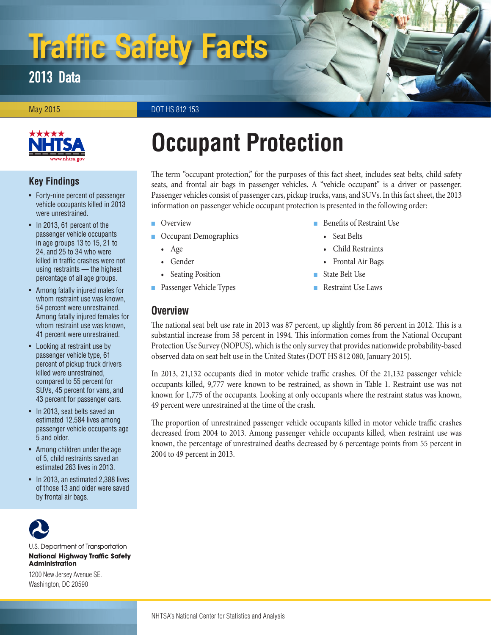# Traffic Safety Facts

# 2013 Data

May 2015 **DOT HS 812 153** 



#### **Key Findings**

- Forty-nine percent of passenger vehicle occupants killed in 2013 were unrestrained.
- In 2013, 61 percent of the passenger vehicle occupants in age groups 13 to 15, 21 to 24, and 25 to 34 who were killed in traffic crashes were not using restraints — the highest percentage of all age groups.
- Among fatally injured males for whom restraint use was known, 54 percent were unrestrained. Among fatally injured females for whom restraint use was known, 41 percent were unrestrained.
- Looking at restraint use by passenger vehicle type, 61 percent of pickup truck drivers killed were unrestrained, compared to 55 percent for SUVs, 45 percent for vans, and 43 percent for passenger cars.
- In 2013, seat belts saved an estimated 12,584 lives among passenger vehicle occupants age 5 and older.
- Among children under the age of 5, child restraints saved an estimated 263 lives in 2013.
- In 2013, an estimated 2,388 lives of those 13 and older were saved by frontal air bags.



U.S. Department of Transportation **National Highway Traffic Safety Administration** 

1200 New Jersey Avenue SE. Washington, DC 20590

# **Occupant Protection**

The term "occupant protection," for the purposes of this fact sheet, includes seat belts, child safety seats, and frontal air bags in passenger vehicles. A "vehicle occupant" is a driver or passenger. Passenger vehicles consist of passenger cars, pickup trucks, vans, and SUVs. In this fact sheet, the 2013 information on passenger vehicle occupant protection is presented in the following order:

- [Overview](#page-0-0)
- [Occupant Demographics](#page-1-0)
	- [Age](#page-1-0)
	- [Gender](#page-2-0)
	- [Seating Position](#page-2-1)
- [Passenger Vehicle Types](#page-3-0)

#### <span id="page-0-0"></span>**Overview**

- [Benefits of Restraint Use](#page-3-1)
	- [Seat Belts](#page-3-1)
	- [Child Restraints](#page-3-2)
	- [Frontal Air Bags](#page-4-0)
- [State Belt Use](#page-4-1)
- [Restraint Use Laws](#page-4-2)

The national seat belt use rate in 2013 was 87 percent, up slightly from 86 percent in 2012. This is a substantial increase from 58 percent in 1994. This information comes from the National Occupant Protection Use Survey (NOPUS), which is the only survey that provides nationwide probability-based observed data on seat belt use in the United States (DOT HS 812 080, January 2015).

In 2013, 21,132 occupants died in motor vehicle traffic crashes. Of the 21,132 passenger vehicle occupants killed, 9,777 were known to be restrained, as shown in Table 1. Restraint use was not known for 1,775 of the occupants. Looking at only occupants where the restraint status was known, 49 percent were unrestrained at the time of the crash.

The proportion of unrestrained passenger vehicle occupants killed in motor vehicle traffic crashes decreased from 2004 to 2013. Among passenger vehicle occupants killed, when restraint use was known, the percentage of unrestrained deaths decreased by 6 percentage points from 55 percent in 2004 to 49 percent in 2013.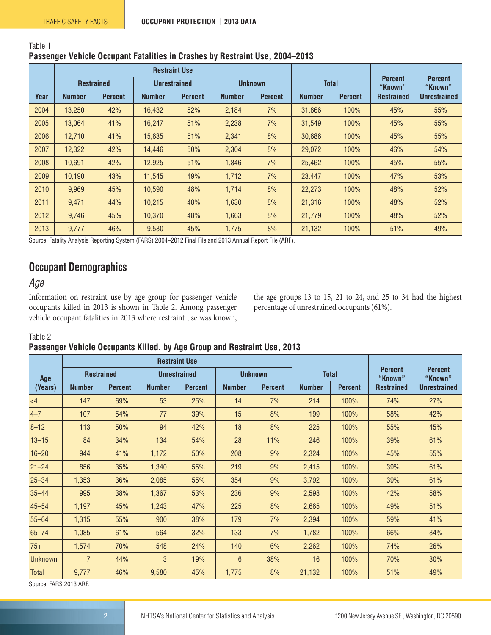| Table 1                                                                      |  |
|------------------------------------------------------------------------------|--|
| Passenger Vehicle Occupant Fatalities in Crashes by Restraint Use, 2004–2013 |  |

|      |                   |                |                     | <b>Restraint Use</b> |                |                |                                 |       |                           |                           |
|------|-------------------|----------------|---------------------|----------------------|----------------|----------------|---------------------------------|-------|---------------------------|---------------------------|
|      | <b>Restrained</b> |                | <b>Unrestrained</b> |                      | <b>Unknown</b> |                |                                 | Total | <b>Percent</b><br>"Known" | <b>Percent</b><br>"Known" |
| Year | <b>Number</b>     | <b>Percent</b> | <b>Number</b>       | <b>Percent</b>       | <b>Number</b>  | <b>Percent</b> | <b>Percent</b><br><b>Number</b> |       | <b>Restrained</b>         | <b>Unrestrained</b>       |
| 2004 | 13,250            | 42%            | 16.432              | 52%                  | 2.184          | 7%             | 31,866                          | 100%  | 45%                       | 55%                       |
| 2005 | 13,064            | 41%            | 16,247              | 51%                  | 2,238          | 7%             | 31,549                          | 100%  | 45%                       | 55%                       |
| 2006 | 12,710            | 41%            | 15,635              | 51%                  | 2,341          | 8%             | 30,686                          | 100%  | 45%                       | 55%                       |
| 2007 | 12,322            | 42%            | 14.446              | 50%                  | 2,304          | 8%             | 29,072                          | 100%  | 46%                       | 54%                       |
| 2008 | 10.691            | 42%            | 12,925              | 51%                  | 1,846          | 7%             | 25,462                          | 100%  | 45%                       | 55%                       |
| 2009 | 10,190            | 43%            | 11.545              | 49%                  | 1,712          | 7%             | 23,447                          | 100%  | 47%                       | 53%                       |
| 2010 | 9,969             | 45%            | 10.590              | 48%                  | 1.714          | 8%             | 22,273                          | 100%  | 48%                       | 52%                       |
| 2011 | 9,471             | 44%            | 10,215              | 48%                  | 1,630          | 8%             | 21,316                          | 100%  | 48%                       | 52%                       |
| 2012 | 9,746             | 45%            | 10,370              | 48%                  | 1,663          | 8%             | 21,779                          | 100%  | 48%                       | 52%                       |
| 2013 | 9,777             | 46%            | 9.580               | 45%                  | 1.775          | 8%             | 21.132                          | 100%  | 51%                       | 49%                       |

Source: Fatality Analysis Reporting System (FARS) 2004–2012 Final File and 2013 Annual Report File (ARF).

# <span id="page-1-0"></span>**Occupant Demographics**

# *Age*

Information on restraint use by age group for passenger vehicle occupants killed in 2013 is shown in Table 2. Among passenger vehicle occupant fatalities in 2013 where restraint use was known,

the age groups 13 to 15, 21 to 24, and 25 to 34 had the highest percentage of unrestrained occupants (61%).

#### Table 2

#### **Passenger Vehicle Occupants Killed, by Age Group and Restraint Use, 2013**

|                |                   |                | <b>Restraint Use</b> |                |                |                |               |                |                           |                           |  |
|----------------|-------------------|----------------|----------------------|----------------|----------------|----------------|---------------|----------------|---------------------------|---------------------------|--|
| Age            | <b>Restrained</b> |                | <b>Unrestrained</b>  |                | <b>Unknown</b> |                |               | <b>Total</b>   | <b>Percent</b><br>"Known" | <b>Percent</b><br>"Known" |  |
| (Years)        | <b>Number</b>     | <b>Percent</b> | <b>Number</b>        | <b>Percent</b> | <b>Number</b>  | <b>Percent</b> | <b>Number</b> | <b>Percent</b> | <b>Restrained</b>         | <b>Unrestrained</b>       |  |
| $\leq 4$       | 147               | 69%            | 53                   | 25%            | 14             | 7%             | 214           | 100%           | 74%                       | 27%                       |  |
| $4 - 7$        | 107               | 54%            | 77                   | 39%            | 15             | 8%             | 199           | 100%           | 58%                       | 42%                       |  |
| $8 - 12$       | 113               | 50%            | 94                   | 42%            | 18             | 8%             | 225           | 100%           | 55%                       | 45%                       |  |
| $13 - 15$      | 84                | 34%            | 134                  | 54%            | 28             | 11%            | 246           | 100%           | 39%                       | 61%                       |  |
| $16 - 20$      | 944               | 41%            | 1,172                | 50%            | 208            | 9%             | 2,324         | 100%           | 45%                       | 55%                       |  |
| $21 - 24$      | 856               | 35%            | 1,340                | 55%            | 219            | 9%             | 2,415         | 100%           | 39%                       | 61%                       |  |
| $25 - 34$      | 1,353             | 36%            | 2,085                | 55%            | 354            | 9%             | 3,792         | 100%           | 39%                       | 61%                       |  |
| $35 - 44$      | 995               | 38%            | 1,367                | 53%            | 236            | 9%             | 2,598         | 100%           | 42%                       | 58%                       |  |
| $45 - 54$      | 1,197             | 45%            | 1,243                | 47%            | 225            | 8%             | 2,665         | 100%           | 49%                       | 51%                       |  |
| $55 - 64$      | 1,315             | 55%            | 900                  | 38%            | 179            | 7%             | 2,394         | 100%           | 59%                       | 41%                       |  |
| $65 - 74$      | 1,085             | 61%            | 564                  | 32%            | 133            | 7%             | 1,782         | 100%           | 66%                       | 34%                       |  |
| $75+$          | 1,574             | 70%            | 548                  | 24%            | 140            | 6%             | 2,262         | 100%           | 74%                       | 26%                       |  |
| <b>Unknown</b> | $\overline{7}$    | 44%            | 3                    | 19%            | 6              | 38%            | 16            | 100%           | 70%                       | 30%                       |  |
| <b>Total</b>   | 9,777             | 46%            | 9,580                | 45%            | 1,775          | 8%             | 21,132        | 100%           | 51%                       | 49%                       |  |

Source: FARS 2013 ARF.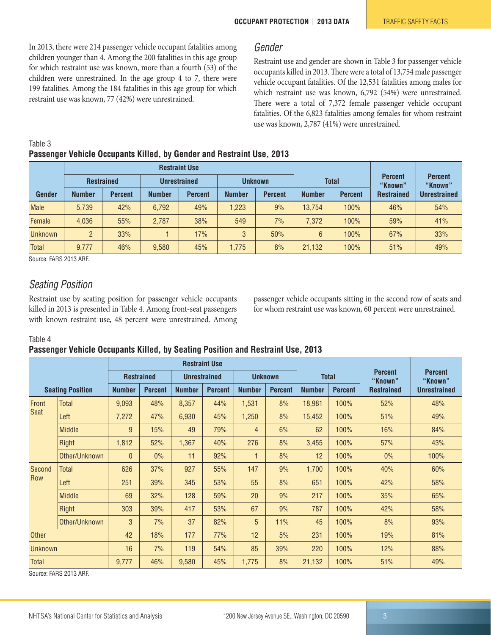In 2013, there were 214 passenger vehicle occupant fatalities among children younger than 4. Among the 200 fatalities in this age group for which restraint use was known, more than a fourth (53) of the children were unrestrained. In the age group 4 to 7, there were 199 fatalities. Among the 184 fatalities in this age group for which restraint use was known, 77 (42%) were unrestrained.

#### <span id="page-2-0"></span>*Gender*

Restraint use and gender are shown in Table 3 for passenger vehicle occupants killed in 2013. There were a total of 13,754 male passenger vehicle occupant fatalities. Of the 12,531 fatalities among males for which restraint use was known, 6,792 (54%) were unrestrained. There were a total of 7,372 female passenger vehicle occupant fatalities. Of the 6,823 fatalities among females for whom restraint use was known, 2,787 (41%) were unrestrained.

| Table 3 |                                                                       |  |  |  |
|---------|-----------------------------------------------------------------------|--|--|--|
|         | Passenger Vehicle Occupants Killed, by Gender and Restraint Use, 2013 |  |  |  |

|                |                                          |                |               | <b>Restraint Use</b> |                                 |                |               |                |                           |                           |  |
|----------------|------------------------------------------|----------------|---------------|----------------------|---------------------------------|----------------|---------------|----------------|---------------------------|---------------------------|--|
|                | <b>Restrained</b><br><b>Unrestrained</b> |                |               |                      |                                 | <b>Unknown</b> | <b>Total</b>  |                | <b>Percent</b><br>"Known" | <b>Percent</b><br>"Known" |  |
| Gender         | <b>Number</b>                            | <b>Percent</b> | <b>Number</b> | <b>Percent</b>       | <b>Number</b><br><b>Percent</b> |                | <b>Number</b> | <b>Percent</b> | <b>Restrained</b>         | <b>Unrestrained</b>       |  |
| <b>Male</b>    | 5.739                                    | 42%            | 6,792         | 49%                  | 1,223                           | 9%             | 13.754        | 100%           | 46%                       | 54%                       |  |
| Female         | 4.036                                    | 55%            | 2,787         | 38%                  | 549                             | 7%             | 7.372         | 100%           | 59%                       | 41%                       |  |
| <b>Unknown</b> | $\overline{2}$                           | 33%            |               | 17%                  | 3                               | 50%            | 6             | 100%           | 67%                       | 33%                       |  |
| <b>Total</b>   | 9.777                                    | 46%            | 9,580         | 45%                  | 1.775                           | 8%             | 21,132        | 100%           | 51%                       | 49%                       |  |

Source: FARS 2013 ARF.

#### <span id="page-2-1"></span>*Seating Position*

Restraint use by seating position for passenger vehicle occupants killed in 2013 is presented in Table 4. Among front-seat passengers with known restraint use, 48 percent were unrestrained. Among

passenger vehicle occupants sitting in the second row of seats and for whom restraint use was known, 60 percent were unrestrained.

#### Table 4

#### **Passenger Vehicle Occupants Killed, by Seating Position and Restraint Use, 2013**

|              |                         |                   |                |                     | <b>Restraint Use</b> |                |                |               |                |                           |                           |
|--------------|-------------------------|-------------------|----------------|---------------------|----------------------|----------------|----------------|---------------|----------------|---------------------------|---------------------------|
|              |                         | <b>Restrained</b> |                | <b>Unrestrained</b> |                      | <b>Unknown</b> |                | <b>Total</b>  |                | <b>Percent</b><br>"Known" | <b>Percent</b><br>"Known" |
|              | <b>Seating Position</b> | <b>Number</b>     | <b>Percent</b> | <b>Number</b>       | <b>Percent</b>       | <b>Number</b>  | <b>Percent</b> | <b>Number</b> | <b>Percent</b> | <b>Restrained</b>         | <b>Unrestrained</b>       |
| Front        | <b>Total</b>            | 9,093             | 48%            | 8,357               | 44%                  | 1,531          | 8%             | 18,981        | 100%           | 52%                       | 48%                       |
| <b>Seat</b>  | Left                    | 7,272             | 47%            | 6,930               | 45%                  | 1,250          | 8%             | 15,452        | 100%           | 51%                       | 49%                       |
|              | <b>Middle</b>           | 9                 | 15%            | 49                  | 79%                  | $\overline{4}$ | 6%             | 62            | 100%           | 16%                       | 84%                       |
|              | Right                   | 1,812             | 52%            | 1,367               | 40%                  | 276            | 8%             | 3,455         | 100%           | 57%                       | 43%                       |
|              | Other/Unknown           | $\overline{0}$    | $0\%$          | 11                  | 92%                  |                | 8%             | 12            | 100%           | 0%                        | 100%                      |
| Second       | <b>Total</b>            | 626               | 37%            | 927                 | 55%                  | 147            | 9%             | 1,700         | 100%           | 40%                       | 60%                       |
| <b>Row</b>   | Left                    | 251               | 39%            | 345                 | 53%                  | 55             | 8%             | 651           | 100%           | 42%                       | 58%                       |
|              | <b>Middle</b>           | 69                | 32%            | 128                 | 59%                  | 20             | 9%             | 217           | 100%           | 35%                       | 65%                       |
|              | Right                   | 303               | 39%            | 417                 | 53%                  | 67             | 9%             | 787           | 100%           | 42%                       | 58%                       |
|              | Other/Unknown           | 3                 | 7%             | 37                  | 82%                  | 5              | 11%            | 45            | 100%           | 8%                        | 93%                       |
| Other        |                         | 42                | 18%            | 177                 | 77%                  | 12             | 5%             | 231           | 100%           | 19%                       | 81%                       |
|              | <b>Unknown</b>          |                   | 7%             | 119                 | 54%                  | 85             | 39%            | 220           | 100%           | 12%                       | 88%                       |
| <b>Total</b> |                         | 9,777             | 46%            | 9,580               | 45%                  | 1,775          | 8%             | 21,132        | 100%           | 51%                       | 49%                       |

Source: FARS 2013 ARF.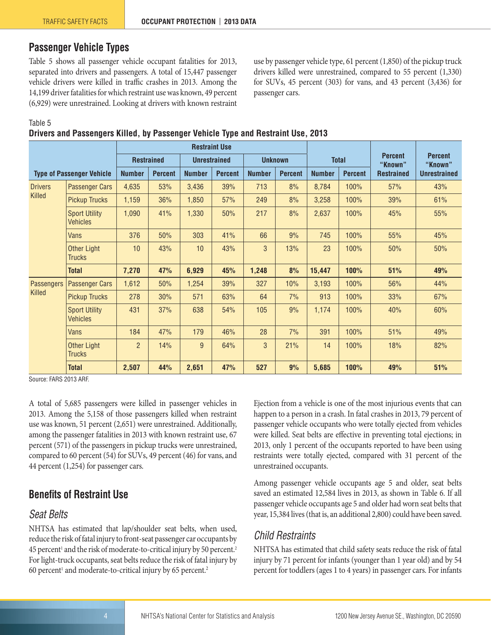# <span id="page-3-0"></span>**Passenger Vehicle Types**

Table 5 shows all passenger vehicle occupant fatalities for 2013, separated into drivers and passengers. A total of 15,447 passenger vehicle drivers were killed in traffic crashes in 2013. Among the 14,199 driver fatalities for which restraint use was known, 49 percent (6,929) were unrestrained. Looking at drivers with known restraint use by passenger vehicle type, 61 percent (1,850) of the pickup truck drivers killed were unrestrained, compared to 55 percent (1,330) for SUVs, 45 percent (303) for vans, and 43 percent (3,436) for passenger cars.

Table 5

#### **Drivers and Passengers Killed, by Passenger Vehicle Type and Restraint Use, 2013**

|                                  |                                         |                   |                |               | <b>Restraint Use</b> |               |                |               |                |                           |                           |  |
|----------------------------------|-----------------------------------------|-------------------|----------------|---------------|----------------------|---------------|----------------|---------------|----------------|---------------------------|---------------------------|--|
|                                  |                                         | <b>Restrained</b> |                |               | <b>Unrestrained</b>  |               | <b>Unknown</b> | <b>Total</b>  |                | <b>Percent</b><br>"Known" | <b>Percent</b><br>"Known" |  |
| <b>Type of Passenger Vehicle</b> |                                         | <b>Number</b>     | <b>Percent</b> | <b>Number</b> | <b>Percent</b>       | <b>Number</b> | <b>Percent</b> | <b>Number</b> | <b>Percent</b> | <b>Restrained</b>         | <b>Unrestrained</b>       |  |
| <b>Drivers</b>                   | <b>Passenger Cars</b>                   | 4,635             | 53%            | 3,436         | 39%                  | 713           | 8%             | 8,784         | 100%           | 57%                       | 43%                       |  |
| Killed                           | <b>Pickup Trucks</b>                    | 1,159             | 36%            | 1,850         | 57%                  | 249           | 8%             | 3,258         | 100%           | 39%                       | 61%                       |  |
|                                  | <b>Sport Utility</b><br><b>Vehicles</b> | 1,090             | 41%            | 1,330         | 50%                  | 217           | 8%             | 2,637         | 100%           | 45%                       | 55%                       |  |
|                                  | <b>Vans</b>                             | 376               | 50%            | 303           | 41%                  | 66            | 9%             | 745           | 100%           | 55%                       | 45%                       |  |
|                                  | Other Light<br><b>Trucks</b>            | 10                | 43%            | 10            | 43%                  | 3             | 13%            | 23            | 100%           | 50%                       | 50%                       |  |
|                                  | <b>Total</b>                            | 7,270             | 47%            | 6,929         | 45%                  | 1,248         | 8%             | 15,447        | 100%           | 51%                       | 49%                       |  |
| <b>Passengers</b>                | <b>Passenger Cars</b>                   | 1,612             | 50%            | 1,254         | 39%                  | 327           | 10%            | 3,193         | 100%           | 56%                       | 44%                       |  |
| Killed                           | <b>Pickup Trucks</b>                    | 278               | 30%            | 571           | 63%                  | 64            | 7%             | 913           | 100%           | 33%                       | 67%                       |  |
|                                  | <b>Sport Utility</b><br><b>Vehicles</b> | 431               | 37%            | 638           | 54%                  | 105           | 9%             | 1,174         | 100%           | 40%                       | 60%                       |  |
|                                  | Vans                                    | 184               | 47%            | 179           | 46%                  | 28            | 7%             | 391           | 100%           | 51%                       | 49%                       |  |
|                                  | <b>Other Light</b><br><b>Trucks</b>     | $\overline{2}$    | 14%            | 9             | 64%                  | 3             | 21%            | 14            | 100%           | 18%                       | 82%                       |  |
|                                  | <b>Total</b>                            | 2,507             | 44%            | 2,651         | 47%                  | 527           | 9%             | 5,685         | 100%           | 49%                       | 51%                       |  |

Source: FARS 2013 ARF.

A total of 5,685 passengers were killed in passenger vehicles in 2013. Among the 5,158 of those passengers killed when restraint use was known, 51 percent (2,651) were unrestrained. Additionally, among the passenger fatalities in 2013 with known restraint use, 67 percent (571) of the passengers in pickup trucks were unrestrained, compared to 60 percent (54) for SUVs, 49 percent (46) for vans, and 44 percent (1,254) for passenger cars.

#### <span id="page-3-1"></span>**Benefits of Restraint Use**

#### *Seat Belts*

NHTSA has estimated that lap/shoulder seat belts, when used, reduce the risk of fatal injury to front-seat passenger car occupants by  $45$  percent<sup>[1](#page-6-0)</sup> and the risk of moderate-to-critical injury by 50 percent.<sup>2</sup> For light-truck occupants, seat belts reduce the risk of fatal injury by 60 percent<sup>1</sup> and moderate-to-critical injury by 65 percent.<sup>2</sup>

Ejection from a vehicle is one of the most injurious events that can happen to a person in a crash. In fatal crashes in 2013, 79 percent of passenger vehicle occupants who were totally ejected from vehicles were killed. Seat belts are effective in preventing total ejections; in 2013, only 1 percent of the occupants reported to have been using restraints were totally ejected, compared with 31 percent of the unrestrained occupants.

Among passenger vehicle occupants age 5 and older, seat belts saved an estimated 12,584 lives in 2013, as shown in Table 6. If all passenger vehicle occupants age 5 and older had worn seat belts that year, 15,384 lives (that is, an additional 2,800) could have been saved.

# <span id="page-3-2"></span>*Child Restraints*

NHTSA has estimated that child safety seats reduce the risk of fatal injury by 71 percent for infants (younger than 1 year old) and by 54 percent for toddlers (ages 1 to 4 years) in passenger cars. For infants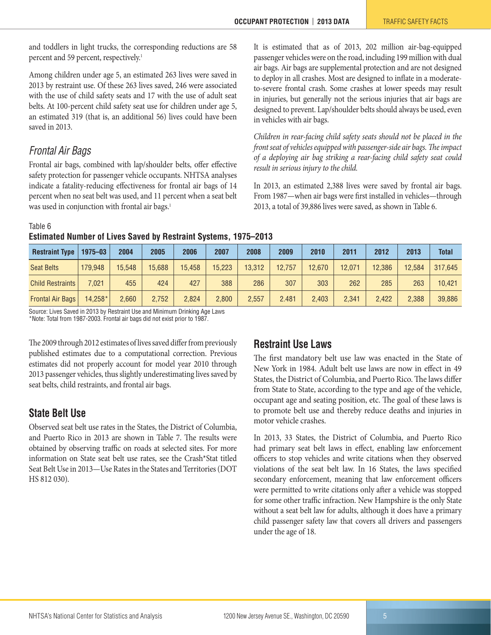and toddlers in light trucks, the corresponding reductions are 58 percent and 59 percent, respectively.<sup>1</sup>

Among children under age 5, an estimated 263 lives were saved in 2013 by restraint use. Of these 263 lives saved, 246 were associated with the use of child safety seats and 17 with the use of adult seat belts. At 100-percent child safety seat use for children under age 5, an estimated 319 (that is, an additional 56) lives could have been saved in 2013.

#### <span id="page-4-0"></span>*Frontal Air Bags*

Frontal air bags, combined with lap/shoulder belts, offer effective safety protection for passenger vehicle occupants. NHTSA analyses indicate a fatality-reducing effectiveness for frontal air bags of 14 percent when no seat belt was used, and 11 percent when a seat belt was used in conjunction with frontal air bags.<sup>1</sup>

It is estimated that as of 2013, 202 million air-bag-equipped passenger vehicles were on the road, including 199 million with dual air bags. Air bags are supplemental protection and are not designed to deploy in all crashes. Most are designed to inflate in a moderateto-severe frontal crash. Some crashes at lower speeds may result in injuries, but generally not the serious injuries that air bags are designed to prevent. Lap/shoulder belts should always be used, even in vehicles with air bags.

*Children in rear-facing child safety seats should not be placed in the front seat of vehicles equipped with passenger-side air bags. The impact of a deploying air bag striking a rear-facing child safety seat could result in serious injury to the child.*

In 2013, an estimated 2,388 lives were saved by frontal air bags. From 1987—when air bags were first installed in vehicles—through 2013, a total of 39,886 lives were saved, as shown in Table 6.

Table 6

| Estimated Number of Lives Saved by Restraint Systems, 1975-2013 |  |  |
|-----------------------------------------------------------------|--|--|
|-----------------------------------------------------------------|--|--|

| <b>Restraint Type</b>   | $1975 - 03$ | 2004   | 2005   | 2006   | 2007   | 2008   | 2009   | 2010   | 2011   | 2012   | 2013   | <b>Total</b> |
|-------------------------|-------------|--------|--------|--------|--------|--------|--------|--------|--------|--------|--------|--------------|
| <b>Seat Belts</b>       | 179.948     | 15.548 | 15.688 | 15.458 | 15,223 | 13,312 | 12.757 | 12,670 | 12.071 | 12,386 | 12,584 | 317.645      |
| <b>Child Restraints</b> | 7.021       | 455    | 424    | 427    | 388    | 286    | 307    | 303    | 262    | 285    | 263    | 10.421       |
| <b>Frontal Air Bags</b> | 14.258*     | 2.660  | 2,752  | 2.824  | 2,800  | 2,557  | 2.481  | 2.403  | 2.341  | 2,422  | 2,388  | 39,886       |

Source: Lives Saved in 2013 by Restraint Use and Minimum Drinking Age Laws \*Note: Total from 1987-2003. Frontal air bags did not exist prior to 1987.

The 2009 through 2012 estimates of lives saved differ from previously published estimates due to a computational correction. Previous estimates did not properly account for model year 2010 through 2013 passenger vehicles, thus slightly underestimating lives saved by seat belts, child restraints, and frontal air bags.

# <span id="page-4-1"></span>**State Belt Use**

Observed seat belt use rates in the States, the District of Columbia, and Puerto Rico in 2013 are shown in Table 7. The results were obtained by observing traffic on roads at selected sites. For more information on State seat belt use rates, see the Crash\*Stat titled Seat Belt Use in 2013—Use Rates in the States and Territories (DOT HS 812 030).

# <span id="page-4-2"></span>**Restraint Use Laws**

The first mandatory belt use law was enacted in the State of New York in 1984. Adult belt use laws are now in effect in 49 States, the District of Columbia, and Puerto Rico. The laws differ from State to State, according to the type and age of the vehicle, occupant age and seating position, etc. The goal of these laws is to promote belt use and thereby reduce deaths and injuries in motor vehicle crashes.

In 2013, 33 States, the District of Columbia, and Puerto Rico had primary seat belt laws in effect, enabling law enforcement officers to stop vehicles and write citations when they observed violations of the seat belt law. In 16 States, the laws specified secondary enforcement, meaning that law enforcement officers were permitted to write citations only after a vehicle was stopped for some other traffic infraction. New Hampshire is the only State without a seat belt law for adults, although it does have a primary child passenger safety law that covers all drivers and passengers under the age of 18.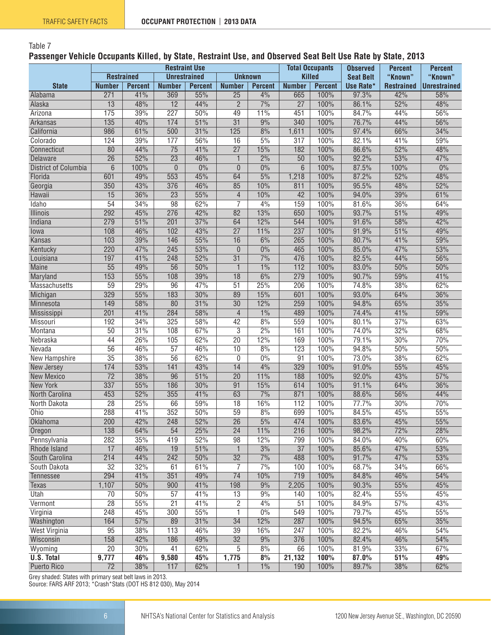#### Table 7

#### **Passenger Vehicle Occupants Killed, by State, Restraint Use, and Observed Seat Belt Use Rate by State, 2013**

|                             |                   |                |                  | <b>Restraint Use</b> |                 |                  | <b>Total Occupants</b> | <b>Observed</b> | <b>Percent</b>   | <b>Percent</b>    |                     |
|-----------------------------|-------------------|----------------|------------------|----------------------|-----------------|------------------|------------------------|-----------------|------------------|-------------------|---------------------|
|                             | <b>Restrained</b> |                |                  | <b>Unrestrained</b>  |                 | <b>Unknown</b>   |                        | <b>Killed</b>   | <b>Seat Belt</b> | "Known"           | "Known"             |
| <b>State</b>                | <b>Number</b>     | <b>Percent</b> | <b>Number</b>    | <b>Percent</b>       | <b>Number</b>   | <b>Percent</b>   | <b>Number</b>          | <b>Percent</b>  | Use Rate*        | <b>Restrained</b> | <b>Unrestrained</b> |
| Alabama                     | 271               | 41%            | 369              | 55%                  | $\overline{25}$ | 4%               | 665                    | 100%            | 97.3%            | 42%               | 58%                 |
| Alaska                      | $\overline{13}$   | 48%            | $\overline{12}$  | 44%                  | $\overline{2}$  | 7%               | $\overline{27}$        | 100%            | 86.1%            | 52%               | 48%                 |
| Arizona                     | 175               | 39%            | 227              | 50%                  | 49              | 11%              | 451                    | 100%            | 84.7%            | 44%               | 56%                 |
| <b>Arkansas</b>             | $\overline{135}$  | 40%            | 174              | 51%                  | $\overline{31}$ | 9%               | 340                    | 100%            | 76.7%            | 44%               | 56%                 |
| California                  | 986               | 61%            | 500              | 31%                  | 125             | 8%               | 1,611                  | 100%            | 97.4%            | 66%               | 34%                 |
| Colorado                    | 124               | 39%            | 177              | 56%                  | 16              | 5%               | $\overline{317}$       | 100%            | 82.1%            | 41%               | 59%                 |
| Connecticut                 | $\overline{80}$   | 44%            | $\overline{75}$  | 41%                  | $\overline{27}$ | 15%              | 182                    | 100%            | 86.6%            | 52%               | 48%                 |
| Delaware                    | $\overline{26}$   | 52%            | $\overline{23}$  | 46%                  | $\mathbf{1}$    | $\frac{2\%}{\ }$ | $\overline{50}$        | 100%            | 92.2%            | 53%               | 47%                 |
| <b>District of Columbia</b> | $\overline{6}$    | 100%           | $\theta$         | $0\%$                | $\theta$        | 0%               | $6\phantom{1}$         | 100%            | 87.5%            | 100%              | $0\%$               |
| Florida                     | 601               | 49%            | 553              | 45%                  | 64              | 5%               | 1,218                  | 100%            | 87.2%            | 52%               | 48%                 |
| Georgia                     | 350               | 43%            | 376              | 46%                  | 85              | 10%              | 811                    | 100%            | 95.5%            | 48%               | 52%                 |
| Hawaii                      | 15                | 36%            | $\overline{23}$  | 55%                  | $\overline{4}$  | 10%              | 42                     | 100%            | 94.0%            | 39%               | 61%                 |
| Idaho                       | $\overline{54}$   | 34%            | 98               | 62%                  | $\overline{7}$  | 4%               | 159                    | 100%            | 81.6%            | 36%               | 64%                 |
| <b>Illinois</b>             | 292               | 45%            | 276              | 42%                  | $\overline{82}$ | 13%              | 650                    | 100%            | 93.7%            | 51%               | 49%                 |
| Indiana                     | 279               | 51%            | $\overline{201}$ | 37%                  | 64              | 12%              | 544                    | 100%            | 91.6%            | 58%               | 42%                 |
| lowa                        | 108               | 46%            | 102              | 43%                  | $\overline{27}$ | 11%              | 237                    | 100%            | 91.9%            | 51%               | 49%                 |
| Kansas                      | 103               | 39%            | 146              | 55%                  | $\overline{16}$ | 6%               | 265                    | 100%            | 80.7%            | 41%               | 59%                 |
|                             | 220               | 47%            | 245              | 53%                  | $\theta$        | $\overline{0\%}$ | 465                    | 100%            | 85.0%            | 47%               | 53%                 |
| Kentucky<br>Louisiana       | 197               | 41%            | 248              | 52%                  | $\overline{31}$ | 7%               | 476                    | 100%            | 82.5%            | 44%               | 56%                 |
| <b>Maine</b>                | $\overline{55}$   | 49%            | $\overline{56}$  | 50%                  | $\mathbf{1}$    | 1%               | $\overline{112}$       | 100%            | 83.0%            | 50%               | 50%                 |
|                             | 153               | 55%            | 108              | 39%                  | $\overline{18}$ | 6%               | $\overline{279}$       | 100%            | 90.7%            | 59%               | 41%                 |
| Maryland                    |                   |                |                  |                      |                 |                  |                        |                 |                  |                   |                     |
| Massachusetts               | 59                | 29%            | 96               | 47%                  | $\overline{51}$ | 25%              | 206                    | 100%            | 74.8%            | 38%               | 62%                 |
| Michigan                    | 329               | 55%            | 183              | 30%                  | 89              | 15%              | 601                    | 100%            | 93.0%            | 64%               | 36%                 |
| Minnesota                   | 149               | 58%            | 80               | 31%                  | 30              | 12%              | 259                    | 100%            | 94.8%            | 65%               | 35%                 |
| Mississippi                 | $\overline{201}$  | 41%            | 284              | 58%                  | $\overline{4}$  | $1\%$            | 489                    | 100%            | 74.4%            | 41%               | 59%                 |
| Missouri                    | 192               | 34%            | 325              | 58%                  | 42              | 8%               | 559                    | 100%            | 80.1%            | 37%               | 63%                 |
| Montana                     | $\overline{50}$   | 31%            | 108              | 67%                  | $\overline{3}$  | $\overline{2\%}$ | 161                    | 100%            | 74.0%            | 32%               | 68%                 |
| Nebraska                    | 44                | 26%            | 105              | 62%                  | $\overline{20}$ | 12%              | 169                    | 100%            | 79.1%            | 30%               | 70%                 |
| Nevada                      | $\overline{56}$   | 46%            | $\overline{57}$  | 46%                  | 10              | 8%               | 123                    | 100%            | 94.8%            | 50%               | 50%                 |
| New Hampshire               | $\overline{35}$   | 38%            | $\overline{56}$  | 62%                  | $\mathbf 0$     | 0%               | $\overline{91}$        | 100%            | 73.0%            | 38%               | 62%                 |
| New Jersey                  | 174               | 53%            | 141              | 43%                  | 14              | 4%               | 329                    | 100%            | 91.0%            | 55%               | 45%                 |
| <b>New Mexico</b>           | $\overline{72}$   | 38%            | 96               | 51%                  | $\overline{20}$ | 11%              | 188                    | 100%            | 92.0%            | 43%               | 57%                 |
| <b>New York</b>             | 337               | 55%            | 186              | 30%                  | $\overline{91}$ | 15%              | 614                    | 100%            | 91.1%            | 64%               | 36%                 |
| North Carolina              | 453               | 52%            | 355              | 41%                  | 63              | 7%               | 871                    | 100%            | 88.6%            | 56%               | 44%                 |
| North Dakota                | $\overline{28}$   | 25%            | 66               | 59%                  | 18              | 16%              | 112                    | 100%            | 77.7%            | 30%               | 70%                 |
| Ohio                        | 288               | 41%            | 352              | 50%                  | $\overline{59}$ | 8%               | 699                    | 100%            | 84.5%            | 45%               | 55%                 |
| Oklahoma                    | 200               | 42%            | 248              | 52%                  | $\overline{26}$ | 5%               | 474                    | 100%            | 83.6%            | 45%               | 55%                 |
| Oregon                      | 138               | 64%            | 54               | 25%                  | $\overline{24}$ | 11%              | 216                    | 100%            | 98.2%            | 72%               | 28%                 |
| Pennsylvania                | 282               | 35%            | 419              | 52%                  | 98              | 12%              | 799                    | 100%            | 84.0%            | 40%               | 60%                 |
| Rhode Island                | 17                | 46%            | 19               | 51%                  | $\mathbf{1}$    | 3%               | $\overline{37}$        | 100%            | 85.6%            | 47%               | 53%                 |
| South Carolina              | 214               | 44%            | 242              | 50%                  | 32              | 7%               | 488                    | 100%            | 91.7%            | 47%               | 53%                 |
| South Dakota                | $\overline{32}$   | 32%            | 61               | 61%                  | 7               | 7%               | 100                    | 100%            | 68.7%            | 34%               | 66%                 |
| Tennessee                   | 294               | 41%            | 351              | 49%                  | 74              | 10%              | 719                    | 100%            | 84.8%            | 46%               | 54%                 |
| Texas                       | 1,107             | 50%            | 900              | 41%                  | 198             | 9%               | 2,205                  | 100%            | 90.3%            | 55%               | 45%                 |
| Utah                        | $\overline{70}$   | 50%            | $\overline{57}$  | 41%                  | 13              | 9%               | 140                    | 100%            | 82.4%            | 55%               | 45%                 |
| Vermont                     | $\overline{28}$   | 55%            | $\overline{21}$  | 41%                  | $\overline{2}$  | 4%               | 51                     | 100%            | 84.9%            | 57%               | 43%                 |
| Virginia                    | 248               | 45%            | 300              | 55%                  | 1               | 0%               | 549                    | 100%            | 79.7%            | 45%               | 55%                 |
| Washington                  | 164               | 57%            | 89               | 31%                  | 34              | 12%              | 287                    | 100%            | 94.5%            | 65%               | 35%                 |
| <b>West Virginia</b>        | 95                | 38%            | 113              | 46%                  | 39              | 16%              | 247                    | 100%            | 82.2%            | 46%               | 54%                 |
| Wisconsin                   | 158               | 42%            | 186              | 49%                  | $\overline{32}$ | 9%               | 376                    | 100%            | 82.4%            | 46%               | 54%                 |
| Wyoming                     | $\overline{20}$   | 30%            | 41               | 62%                  | 5               | 8%               | 66                     | 100%            | 81.9%            | 33%               | 67%                 |
| <b>U.S. Total</b>           | 9,777             | 46%            | 9,580            | 45%                  | 1,775           | 8%               | 21,132                 | 100%            | 87.0%            | 51%               | 49%                 |
| Puerto Rico                 | $\overline{72}$   | 38%            | 117              | 62%                  | 1               | 1%               | 190                    | 100%            | 89.7%            | 38%               | 62%                 |

Grey shaded: States with primary seat belt laws in 2013. Source: FARS ARF 2013; \*Crash\*Stats (DOT HS 812 030), May 2014